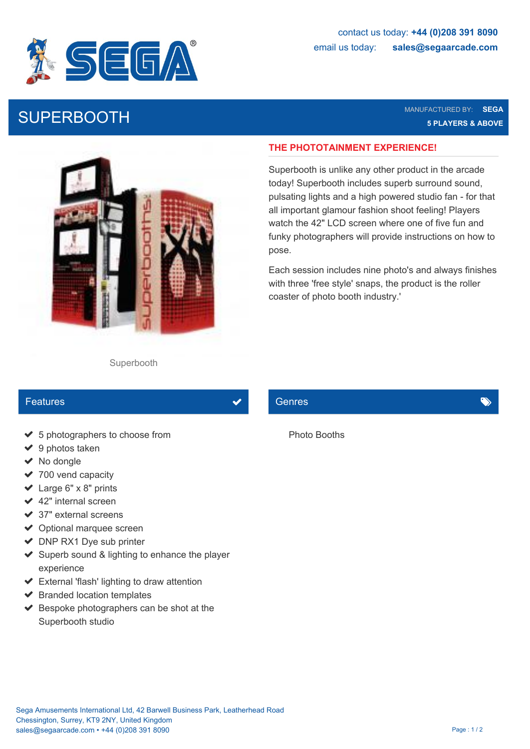

SUPERBOOTH MANUFACTURED BY: SEGA NANUFACTURED BY: SEGA NANUFACTURED BY: SEGA NANUFACTURED BY: SEGA NANUFACTURED BY: SEGA NANUFACTURED BY: SEGA NANUFACTURED BY: SEGA NANUFACTURED BY: SEGA NANUFACTURED BY: SEGA NANUFACTURED **5 PLAYERS & ABOVE**



## **THE PHOTOTAINMENT EXPERIENCE!**

Superbooth is unlike any other product in the arcade today! Superbooth includes superb surround sound, pulsating lights and a high powered studio fan - for that all important glamour fashion shoot feeling! Players watch the 42" LCD screen where one of five fun and funky photographers will provide instructions on how to pose.

Each session includes nine photo's and always finishes with three 'free style' snaps, the product is the roller coaster of photo booth industry.'

### Superbooth

## Features

- ◆ 5 photographers to choose from
- $\vee$  9 photos taken
- $\vee$  No dongle
- $\vee$  700 vend capacity
- $\vee$  Large 6" x 8" prints
- $\triangleleft$  42" internal screen
- $\blacktriangleright$  37" external screens
- ◆ Optional marquee screen
- $\triangleright$  DNP RX1 Dye sub printer
- $\triangleright$  Superb sound & lighting to enhance the player experience
- External 'flash' lighting to draw attention
- $\blacktriangleright$  Branded location templates
- $\blacktriangleright$  Bespoke photographers can be shot at the Superbooth studio

## Genres **General Community of the Community**

Photo Booths